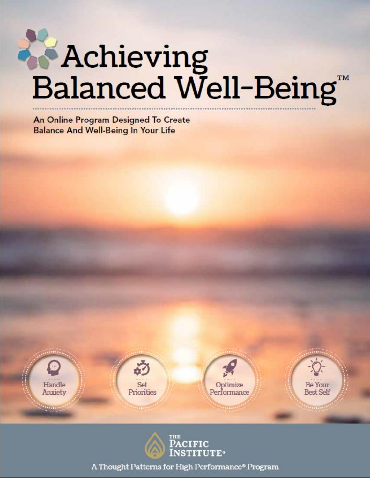# Achieving<br>Balanced Well-Being TM

An Online Program Designed To Create **Balance And Well-Being In Your Life** 





A Thought Patterns for High Performance® Program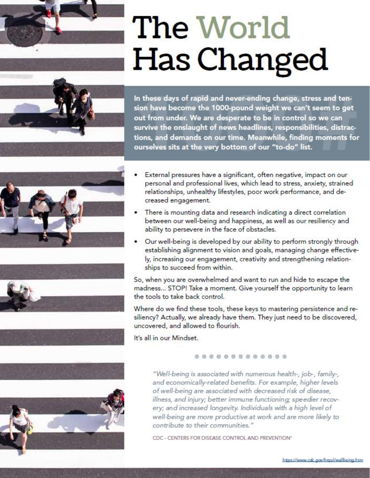

## The World Has Changed

In these days of rapid and never-ending change, stress and tension have become the 1000-pound weight we can't seem to get out from under. We are desperate to be in control so we can survive the onslaught of news headlines, responsibilities, distractions, and demands on our time. Meanwhile, finding moments for ourselves sits at the very bottom of our "to-do" list.









- External pressures have a significant, often negative, impact on our personal and professional lives, which lead to stress, anxiety, strained relationships, unhealthy lifestyles, poor work performance, and decreased engagement.
- There is mounting data and research indicating a direct correlation between our well-being and happiness, as well as our resiliency and ability to persevere in the face of obstacles.
- Our well-being is developed by our ability to perform strongly through establishing alignment to vision and goals, managing change effectively, increasing our engagement, creativity and strengthening relationships to succeed from within.

So, when you are overwhelmed and want to run and hide to escape the madness... STOP! Take a moment. Give yourself the opportunity to learn the tools to take back control.

Where do we find these tools, these keys to mastering persistence and resiliency? Actually, we already have them. They just need to be discovered, uncovered, and allowed to flourish.

It's all in our Mindset.

#### .............

"Well-being is associated with numerous health-, job-, family-, and economically-related benefits. For example, higher levels of well-being are associated with decreased risk of disease, illness, and injury; better immune functioning; speedier recovery; and increased longevity. Individuals with a high level of well-being are more productive at work and are more likely to contribute to their communities."

CDC - CENTERS FOR DISEASE CONTROL AND PREVENTION<sup>1</sup>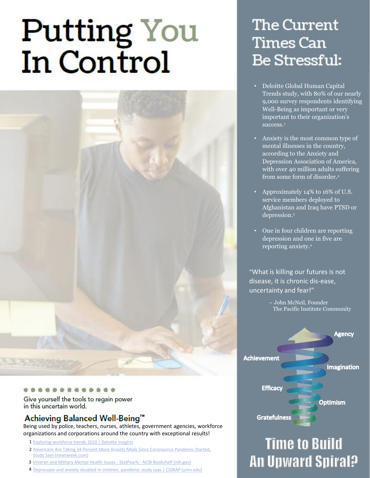# Putting You<br>In Control



#### **商商商商商商商**

Give yourself the tools to regain power in this uncertain world.

#### Achieving Balanced Well-Being"

Being used by police, teachers, nurses, athletes, government agencies, workforce organizations and corporations around the country with exceptional results!

- 1 [Exploring workforce trends 2020 | Deloitte insights](https://www2.deloitte.com/us/en/insights/focus/human-capital-trends/2021/workforce-trends-2020.html/)
- 2 Americans Are Taking 34 Percent More Anxiety Meds Since Coronavirus Pandemic Started, Study Says (newsweek.com)
- 3 [Veteran and Military Mental Health Issues -](https://www.ncbi.nlm.nih.gov/books/NBK572092/) StatPearls NCBI Bookshelf (nih.gov)
- 4 [Depression and anxiety doubled in children,](https://www.cidrap.umn.edu/news-perspective/2021/08/depression-and-anxiety-doubled-children-pandemic-study-says) pandemic study says | CIDRAP (umn.edu)

## **The Current Times Can** Be Stressful:

- Deloitte Global Human Capital Trends study, with 80% of our nearly 9,000 survey respondents identifying Well-Being as important or very important to their organization's success.<sup>1</sup>
- Anxiety is the most common type of mental illnesses in the country, according to the Anxiety and Depression Association of America, with over 40 million adults suffering from some form of disorder.<sup>2</sup>
- Approximately 14% to 16% of U.S. service members deployed to Afghanistan and Iraq have PTSD or depression.<sup>3</sup>
- One in four children are reporting depression and one in five are reporting anxiety.<sup>₄</sup>

"What is killing our futures is not disease, it is chronic dis-ease, uncertainty and fear!"

> ~ John McNeil, Founder The Pacific Institute Community



## **Time to Build An Upward Spiral?**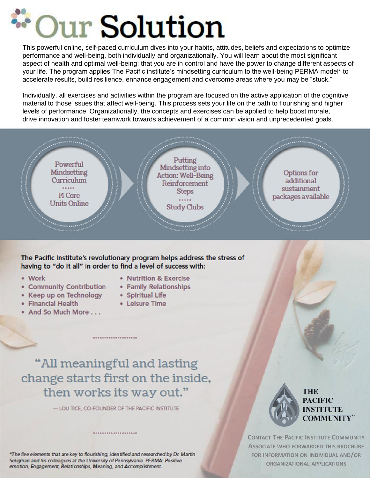# Our Solution

This powerful online, self-paced curriculum dives into your habits, attitudes, beliefs and expectations to optimize performance and well-being, both individually and organizationally. You will learn about the most significant aspect of health and optimal well-being: that you are in control and have the power to change different aspects of your life. The program applies The Pacific institute's mindsetting curriculum to the well-being PERMA model\* to accelerate results, build resilience, enhance engagement and overcome areas where you may be "stuck."

Individually, all exercises and activities within the program are focused on the active application of the cognitive material to those issues that affect well-being. This process sets your life on the path to flourishing and higher levels of performance. Organizationally, the concepts and exercises can be applied to help boost morale, drive innovation and foster teamwork towards achievement of a common vision and unprecedented goals.



The Pacific Institute's revolutionary program helps address the stress of having to "do it all" in order to find a level of success with:

- · Work
- **Community Contribution**
- Keep up on Technology
- · Financial Health
- . And So Much More . . .
- Nutrition & Exercise
- Family Relationships
- · Spiritual Life
- Leisure Time

### "All meaningful and lasting change starts first on the inside, then works its way out."

\*\*\*\*\*\*\*\*\*\*\*\*\*\*\*\*\*\*\*\*

- LOU TICE, CO-FOUNDER OF THE PACIFIC INSTITUTE

**EOPRESOPHESPPESOPHEN** 

\*The five elements that are key to flourishing, identified and researched by Dr. Martin Seligman and his colleagues at the University of Pennsylvania. PERMA: Positive emotion, Engagement, Relationships, Meaning, and Accomplishment.



**THE PACIFIC INSTITUTE COMMUNITY**<sup>™</sup>

**CONTACT THE PACIFIC INSTITUTE COMMUNITY ASSOCIATE WHO FORWARDED THIS BROCHURE** FOR INFORMATION ON INDIVIDUAL AND/OR **ORGANIZATIONAL APPLICATIONS**